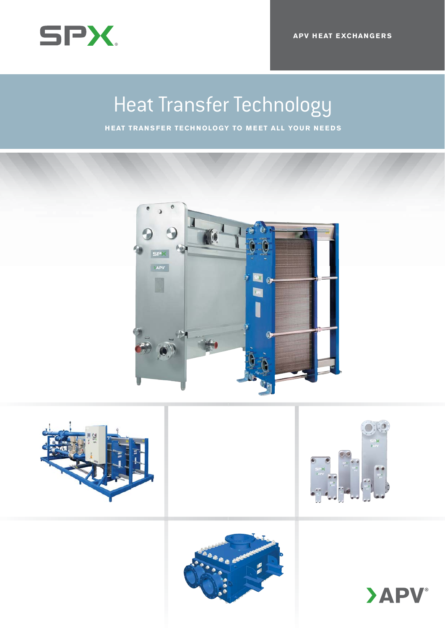

Heat Transfer Technology **HEAT TRANSFER TECHNOLOGY TO MEET ALL YOUR NEEDS**









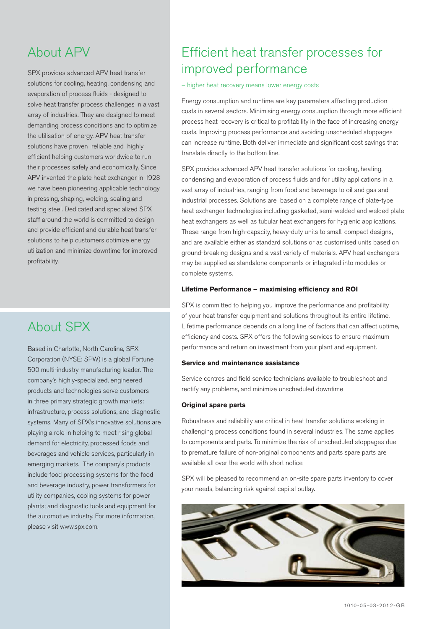# About APV

SPX provides advanced APV heat transfer solutions for cooling, heating, condensing and evaporation of process fluids - designed to solve heat transfer process challenges in a vast array of industries. They are designed to meet demanding process conditions and to optimize the utilisation of energy. APV heat transfer solutions have proven reliable and highly efficient helping customers worldwide to run their processes safely and economically. Since APV invented the plate heat exchanger in 1923 we have been pioneering applicable technology in pressing, shaping, welding, sealing and testing steel. Dedicated and specialized SPX staff around the world is committed to design and provide efficient and durable heat transfer solutions to help customers optimize energy utilization and minimize downtime for improved profitability.

# About SPX

Based in Charlotte, North Carolina, SPX Corporation (NYSE: SPW) is a global Fortune 500 multi-industry manufacturing leader. The company's highly-specialized, engineered products and technologies serve customers in three primary strategic growth markets: infrastructure, process solutions, and diagnostic systems. Many of SPX's innovative solutions are playing a role in helping to meet rising global demand for electricity, processed foods and beverages and vehicle services, particularly in emerging markets. The company's products include food processing systems for the food and beverage industry, power transformers for utility companies, cooling systems for power plants; and diagnostic tools and equipment for the automotive industry. For more information, please visit www.spx.com.

# Efficient heat transfer processes for improved performance

– higher heat recovery means lower energy costs

Energy consumption and runtime are key parameters affecting production costs in several sectors. Minimising energy consumption through more efficient process heat recovery is critical to profitability in the face of increasing energy costs. Improving process performance and avoiding unscheduled stoppages can increase runtime. Both deliver immediate and significant cost savings that translate directly to the bottom line.

SPX provides advanced APV heat transfer solutions for cooling, heating, condensing and evaporation of process fluids and for utility applications in a vast array of industries, ranging from food and beverage to oil and gas and industrial processes. Solutions are based on a complete range of plate-type heat exchanger technologies including gasketed, semi-welded and welded plate heat exchangers as well as tubular heat exchangers for hygienic applications. These range from high-capacity, heavy-duty units to small, compact designs, and are available either as standard solutions or as customised units based on ground-breaking designs and a vast variety of materials. APV heat exchangers may be supplied as standalone components or integrated into modules or complete systems.

### Lifetime Performance - maximising efficiency and ROI

SPX is committed to helping you improve the performance and profitability of your heat transfer equipment and solutions throughout its entire lifetime. Lifetime performance depends on a long line of factors that can affect uptime, efficiency and costs. SPX offers the following services to ensure maximum performance and return on investment from your plant and equipment.

### **Service and maintenance assistance**

Service centres and field service technicians available to troubleshoot and rectify any problems, and minimize unscheduled downtime

#### **Original spare parts**

Robustness and reliability are critical in heat transfer solutions working in challenging process conditions found in several industries. The same applies to components and parts. To minimize the risk of unscheduled stoppages due to premature failure of non-original components and parts spare parts are available all over the world with short notice

SPX will be pleased to recommend an on-site spare parts inventory to cover your needs, balancing risk against capital outlay.

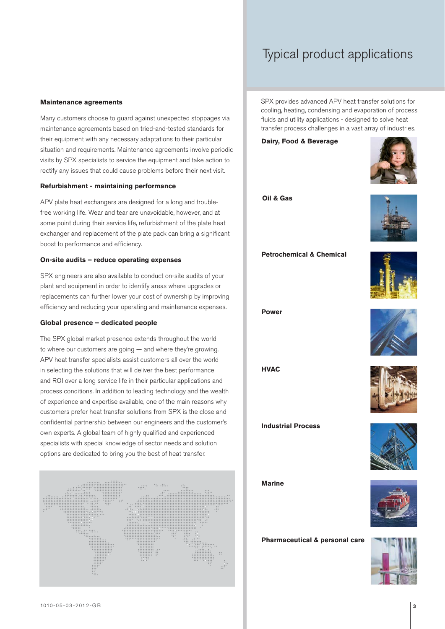# Typical product applications

#### **Maintenance agreements**

Many customers choose to guard against unexpected stoppages via maintenance agreements based on tried-and-tested standards for their equipment with any necessary adaptations to their particular situation and requirements. Maintenance agreements involve periodic visits by SPX specialists to service the equipment and take action to rectify any issues that could cause problems before their next visit.

#### **Refurbishment - maintaining performance**

APV plate heat exchangers are designed for a long and troublefree working life. Wear and tear are unavoidable, however, and at some point during their service life, refurbishment of the plate heat exchanger and replacement of the plate pack can bring a significant boost to performance and efficiency.

### **On-site audits – reduce operating expenses**

SPX engineers are also available to conduct on-site audits of your plant and equipment in order to identify areas where upgrades or replacements can further lower your cost of ownership by improving efficiency and reducing your operating and maintenance expenses.

### **Global presence – dedicated people**

The SPX global market presence extends throughout the world to where our customers are going — and where they're growing. APV heat transfer specialists assist customers all over the world in selecting the solutions that will deliver the best performance and ROI over a long service life in their particular applications and process conditions. In addition to leading technology and the wealth of experience and expertise available, one of the main reasons why customers prefer heat transfer solutions from SPX is the close and confidential partnership between our engineers and the customer's own experts. A global team of highly qualified and experienced specialists with special knowledge of sector needs and solution options are dedicated to bring you the best of heat transfer.



SPX provides advanced APV heat transfer solutions for cooling, heating, condensing and evaporation of process fluids and utility applications - designed to solve heat transfer process challenges in a vast array of industries.

**Dairy, Food & Beverage**



**Oil & Gas**



**Petrochemical & Chemical** 



**Power**



**HVAC**

**Industrial Process**





**Marine**



**Pharmaceutical & personal care**

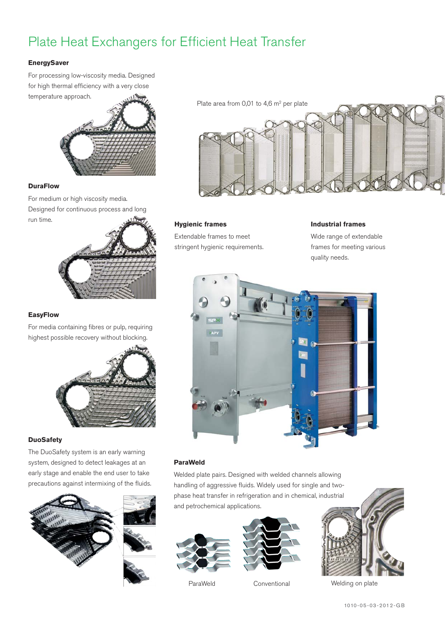# Plate Heat Exchangers for Efficient Heat Transfer

# **EnergySaver**

For processing low-viscosity media. Designed for high thermal efficiency with a very close temperature approach.



### **DuraFlow**

For medium or high viscosity media. Designed for continuous process and long run time.



### **EasyFlow**

For media containing fibres or pulp, requiring highest possible recovery without blocking.



### **DuoSafety**

The DuoSafety system is an early warning system, designed to detect leakages at an early stage and enable the end user to take precautions against intermixing of the fluids.





# **Hygienic frames**

Extendable frames to meet stringent hygienic requirements.

# **Industrial frames** Wide range of extendable frames for meeting various

quality needs.



# **ParaWeld**

Welded plate pairs. Designed with welded channels allowing handling of aggressive fluids. Widely used for single and twophase heat transfer in refrigeration and in chemical, industrial and petrochemical applications.





ParaWeld Conventional



Welding on plate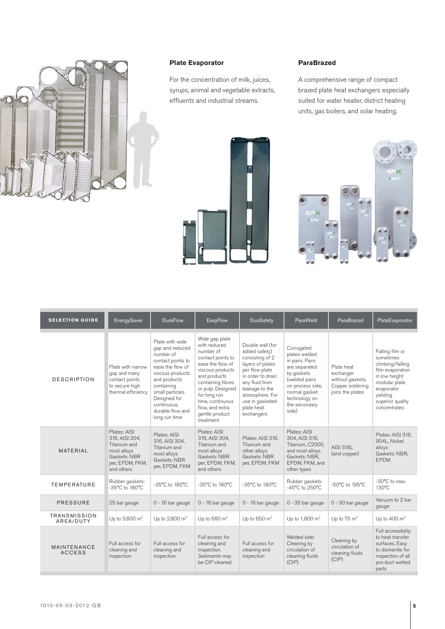

# **Plate Evaporator**

For the concentration of milk, juices, syrups, animal and vegetable extracts, effluents and industrial streams.

# **ParaBrazed**

A comprehensive range of compact brazed plate heat exchangers especially suited for water heater, district heating units, gas boilers, and solar heating.



| <b>SELECTION GUIDE</b>           | EnergySaver                                                                                                    | <b>DuraFlow</b>                                                                                                                                                                                                                    | EasyFlow                                                                                                                                                                                                                                                 | DuoSafety                                                                                                                                                                                                             | ParaWeld                                                                                                                                                                       | ParaBrazed                                                                          | PlateEvaporator                                                                                                                                                      |
|----------------------------------|----------------------------------------------------------------------------------------------------------------|------------------------------------------------------------------------------------------------------------------------------------------------------------------------------------------------------------------------------------|----------------------------------------------------------------------------------------------------------------------------------------------------------------------------------------------------------------------------------------------------------|-----------------------------------------------------------------------------------------------------------------------------------------------------------------------------------------------------------------------|--------------------------------------------------------------------------------------------------------------------------------------------------------------------------------|-------------------------------------------------------------------------------------|----------------------------------------------------------------------------------------------------------------------------------------------------------------------|
| <b>DESCRIPTION</b>               | Plate with narrow<br>gap and many<br>contact points<br>to secure high<br>thermal efficiency                    | Plate with wide<br>gap and reduced<br>number of<br>contact points to<br>ease the flow of<br>viscous products<br>and products<br>containing<br>small particles.<br>Designed for<br>continuous.<br>durable flow and<br>long run time | Wide gap plate<br>with reduced<br>number of<br>contact points to<br>ease the flow of<br>viscous products<br>and products<br>containing fibres<br>or pulp. Designed<br>for long run<br>time, continuous<br>flow, and extra<br>gentle product<br>treatment | Double wall (for<br>added safety)<br>consisting of 2<br>layers of plates<br>per flow plate<br>in order to drain<br>any fluid from<br>leakage to the<br>atmosphere. For<br>use in gasketed<br>plate heat<br>exchangers | Corrugated<br>plates welded<br>in pairs. Pairs<br>are separated<br>by gaskets<br>(welded pairs<br>on process side,<br>normal gasket<br>technology on<br>the secondary<br>side) | Plate heat<br>exchanger<br>without gaskets.<br>Copper soldering<br>joins the plates | Falling film or<br>sometimes<br>climbing/falling<br>film evaporation<br>in low height<br>modular plate<br>evaporator<br>vielding<br>superior quality<br>concentrates |
| MATERIAL                         | Plates: AISI<br>316, AISI 304,<br>Titanium and<br>most alloys<br>Gaskets: NBR<br>per, EPDM, FKM,<br>and others | Plates: AISI<br>316, AISI 304.<br>Titanium and<br>most alloys<br>Gaskets: NBR<br>per, EPDM, FKM                                                                                                                                    | Plates: AISI<br>316, AISI 304,<br>Titanium and<br>most alloys<br>Gaskets: NBR<br>per, EPDM, FKM,<br>and others                                                                                                                                           | Plates: AISI 316.<br>Titanium and<br>other alloys<br>Gaskets: NBR<br>per, EPDM, FKM                                                                                                                                   | Plates: AISI<br>304, AISI 316,<br>Titanium, C2000,<br>and most alloys.<br>Gaskets: NBR,<br>EPDM, FKM, and<br>other types                                                       | <b>AISI 316L</b><br>(and copper)                                                    | Plates: AISI 316.<br>904L, Nickel<br>alloys<br>Gaskets: NBR,<br><b>EPDM</b>                                                                                          |
| <b>TEMPERATURE</b>               | Rubber gaskets:<br>-35°C to 180°C                                                                              | -35°C to 180°C                                                                                                                                                                                                                     | -35°C to 180°C                                                                                                                                                                                                                                           | -35°C to 180°C                                                                                                                                                                                                        | Rubber gaskets:<br>-45°C to 250°C                                                                                                                                              | -50°C to 195°C                                                                      | -30°C to max.<br>130°C                                                                                                                                               |
| <b>PRESSURE</b>                  | 25 bar gauge                                                                                                   | 0 - 16 bar gauge                                                                                                                                                                                                                   | $0 - 16$ bar gauge                                                                                                                                                                                                                                       | 0 - 16 bar gauge                                                                                                                                                                                                      | $0 - 35$ bar gauge                                                                                                                                                             | 0 - 30 bar gauge                                                                    | Vacuum to 2 bar<br>gauge                                                                                                                                             |
| <b>TRANSMISSION</b><br>AREA/DUTY | Up to 3,800 m <sup>2</sup>                                                                                     | Up to 2,800 m <sup>2</sup>                                                                                                                                                                                                         | Up to $680 \text{ m}^2$                                                                                                                                                                                                                                  | Up to $650 \text{ m}^2$                                                                                                                                                                                               | Up to 1,800 m <sup>2</sup>                                                                                                                                                     | Up to $75 \text{ m}^2$                                                              | Up to 400 $m2$                                                                                                                                                       |
| MAINTENANCE<br><b>ACCESS</b>     | Full access for<br>cleaning and<br>inspection                                                                  | Full access for<br>cleaning and<br>inspection                                                                                                                                                                                      | Full access for<br>cleaning and<br>inspection.<br>Sediments may<br>be CIP cleaned                                                                                                                                                                        | Full access for<br>cleaning and<br>inspection                                                                                                                                                                         | Welded side:<br>Cleaning by<br>circulation of<br>cleaning fluids<br>(CIP)                                                                                                      | Cleaning by<br>circulation of<br>cleaning fluids<br>(CIP)                           | Full accessibility<br>to heat transfer<br>surfaces. Easy<br>to dismantle for<br>inspection of all<br>pro-duct wetted<br>parts                                        |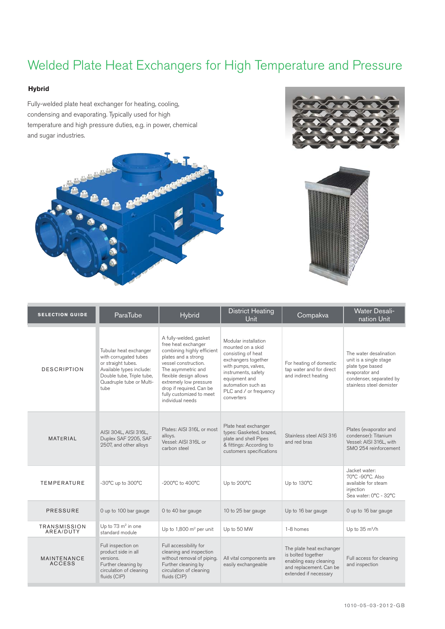# Welded Plate Heat Exchangers for High Temperature and Pressure

### **Hybrid**

Fully-welded plate heat exchanger for heating, cooling, condensing and evaporating. Typically used for high temperature and high pressure duties, e.g. in power, chemical and sugar industries.







| <b>SELECTION GUIDE</b>       | ParaTube                                                                                                                                                           | <b>Hybrid</b>                                                                                                                                                                                                                                                                    | <b>District Heating</b><br><b>Unit</b>                                                                                                                                                                              | Compakva                                                                                                                     | <b>Water Desali-</b><br>nation Unit                                                                                                           |
|------------------------------|--------------------------------------------------------------------------------------------------------------------------------------------------------------------|----------------------------------------------------------------------------------------------------------------------------------------------------------------------------------------------------------------------------------------------------------------------------------|---------------------------------------------------------------------------------------------------------------------------------------------------------------------------------------------------------------------|------------------------------------------------------------------------------------------------------------------------------|-----------------------------------------------------------------------------------------------------------------------------------------------|
| <b>DESCRIPTION</b>           | Tubular heat exchanger<br>with corrugated tubes<br>or straight tubes.<br>Available types include:<br>Double tube, Triple tube,<br>Quadruple tube or Multi-<br>tube | A fully-welded, gasket<br>free heat exchanger<br>combining highly efficient<br>plates and a strong<br>vessel construction.<br>The asymmetric and<br>flexible design allows<br>extremely low pressure<br>drop if required. Can be<br>fully customized to meet<br>individual needs | Modular installation<br>mounted on a skid<br>consisting of heat<br>exchangers together<br>with pumps, valves,<br>instruments, safety<br>equipment and<br>automation such as<br>PLC and / or frequency<br>converters | For heating of domestic<br>tap water and for direct<br>and indirect heating                                                  | The water desalination<br>unit is a single stage<br>plate type based<br>evaporator and<br>condenser, separated by<br>stainless steel demister |
| <b>MATERIAL</b>              | AISI 304L, AISI 316L,<br>Duplex SAF 2205, SAF<br>2507, and other alloys                                                                                            | Plates: AISI 316L or most<br>alloys.<br>Vessel: AISI 316L or<br>carbon steel                                                                                                                                                                                                     | Plate heat exchanger<br>types: Gasketed, brazed,<br>plate and shell Pipes<br>& fittings: According to<br>customers specifications                                                                                   | Stainless steel AISI 316<br>and red bras                                                                                     | Plates (evaporator and<br>condenser): Titanium<br>Vessel: AISI 316L, with<br>SMO 254 reinforcement                                            |
| <b>TEMPERATURE</b>           | -30°C up to 300°C                                                                                                                                                  | -200°C to 400°C                                                                                                                                                                                                                                                                  | Up to 200°C                                                                                                                                                                                                         | Up to 130°C                                                                                                                  | Jacket water:<br>70°C -90°C, Also<br>available for steam<br>injection<br>Sea water: 0°C - 32°C                                                |
| <b>PRESSURE</b>              | 0 up to 100 bar gauge                                                                                                                                              | 0 to 40 bar gauge                                                                                                                                                                                                                                                                | 10 to 25 bar gauge                                                                                                                                                                                                  | Up to 16 bar gauge                                                                                                           | 0 up to 16 bar gauge                                                                                                                          |
| TRANSMISSION<br>AREA/DUTY    | Up to 73 m <sup>2</sup> in one<br>standard module                                                                                                                  | Up to 1,800 m <sup>2</sup> per unit                                                                                                                                                                                                                                              | Up to 50 MW                                                                                                                                                                                                         | 1-8 homes                                                                                                                    | Up to 35 m <sup>3</sup> /h                                                                                                                    |
| MAINTENANCE<br><b>ACCESS</b> | Full inspection on<br>product side in all<br>versions.<br>Further cleaning by<br>circulation of cleaning<br>fluids (CIP)                                           | Full accessibility for<br>cleaning and inspection<br>without removal of piping.<br>Further cleaning by<br>circulation of cleaning<br>fluids (CIP)                                                                                                                                | All vital components are<br>easily exchangeable                                                                                                                                                                     | The plate heat exchanger<br>is bolted together<br>enabling easy cleaning<br>and replacement. Can be<br>extended if necessary | Full access for cleaning<br>and inspection                                                                                                    |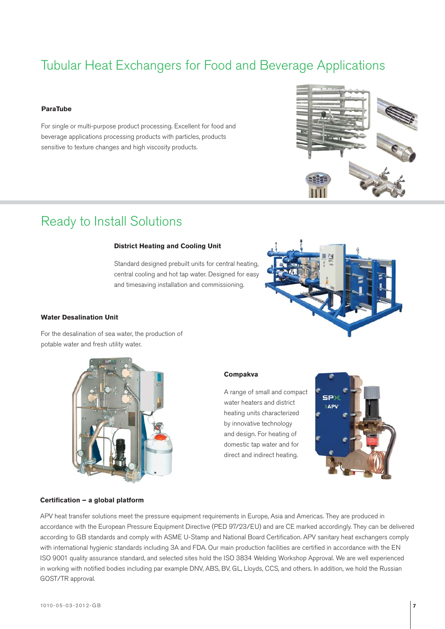# Tubular Heat Exchangers for Food and Beverage Applications

#### **ParaTube**

For single or multi-purpose product processing. Excellent for food and beverage applications processing products with particles, products sensitive to texture changes and high viscosity products.



# Ready to Install Solutions

### **District Heating and Cooling Unit**

Standard designed prebuilt units for central heating, central cooling and hot tap water. Designed for easy and timesaving installation and commissioning.



### **Water Desalination Unit**

For the desalination of sea water, the production of potable water and fresh utility water.



# **Compakva**

A range of small and compact water heaters and district heating units characterized by innovative technology and design. For heating of domestic tap water and for direct and indirect heating.



#### Certification – a global platform

APV heat transfer solutions meet the pressure equipment requirements in Europe, Asia and Americas. They are produced in accordance with the European Pressure Equipment Directive (PED 97/23/EU) and are CE marked accordingly. They can be delivered according to GB standards and comply with ASME U-Stamp and National Board Certification. APV sanitary heat exchangers comply with international hygienic standards including 3A and FDA. Our main production facilities are certified in accordance with the EN ISO 9001 quality assurance standard, and selected sites hold the ISO 3834 Welding Workshop Approval. We are well experienced in working with notified bodies including par example DNV, ABS, BV, GL, Lloyds, CCS, and others. In addition, we hold the Russian GOST/TR approval.